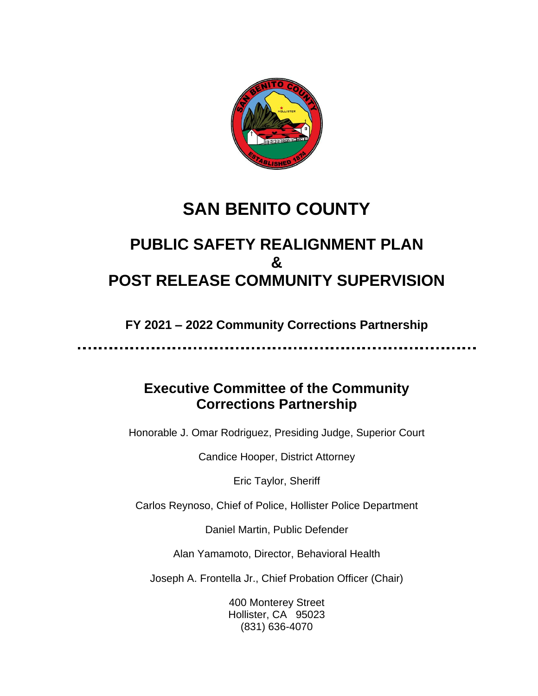

# **SAN BENITO COUNTY**

## **PUBLIC SAFETY REALIGNMENT PLAN & POST RELEASE COMMUNITY SUPERVISION**

**FY 2021 – 2022 Community Corrections Partnership**

## **Executive Committee of the Community Corrections Partnership**

Honorable J. Omar Rodriguez, Presiding Judge, Superior Court

Candice Hooper, District Attorney

Eric Taylor, Sheriff

Carlos Reynoso, Chief of Police, Hollister Police Department

Daniel Martin, Public Defender

Alan Yamamoto, Director, Behavioral Health

Joseph A. Frontella Jr., Chief Probation Officer (Chair)

400 Monterey Street Hollister, CA 95023 (831) 636-4070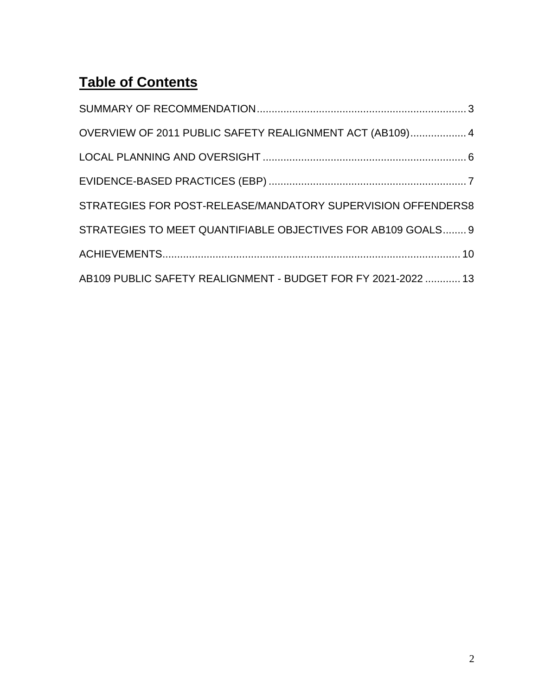## **Table of Contents**

| OVERVIEW OF 2011 PUBLIC SAFETY REALIGNMENT ACT (AB109) 4      |
|---------------------------------------------------------------|
|                                                               |
|                                                               |
| STRATEGIES FOR POST-RELEASE/MANDATORY SUPERVISION OFFENDERS8  |
| STRATEGIES TO MEET QUANTIFIABLE OBJECTIVES FOR AB109 GOALS 9  |
|                                                               |
| AB109 PUBLIC SAFETY REALIGNMENT - BUDGET FOR FY 2021-2022  13 |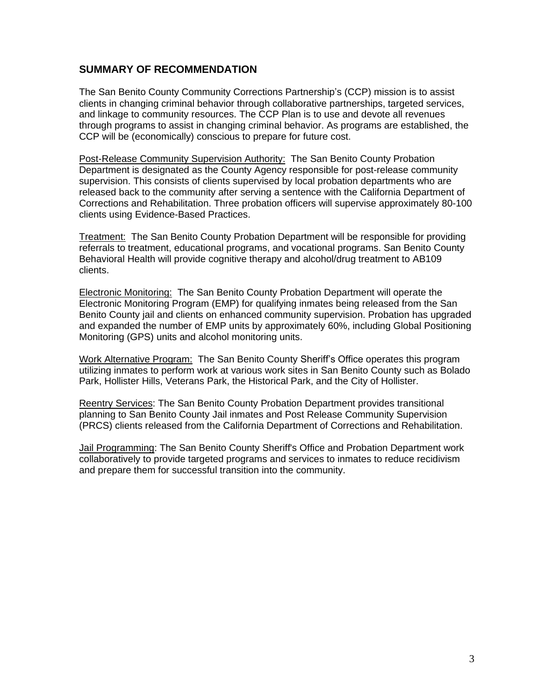## <span id="page-2-0"></span>**SUMMARY OF RECOMMENDATION**

The San Benito County Community Corrections Partnership's (CCP) mission is to assist clients in changing criminal behavior through collaborative partnerships, targeted services, and linkage to community resources. The CCP Plan is to use and devote all revenues through programs to assist in changing criminal behavior. As programs are established, the CCP will be (economically) conscious to prepare for future cost.

Post-Release Community Supervision Authority: The San Benito County Probation Department is designated as the County Agency responsible for post-release community supervision. This consists of clients supervised by local probation departments who are released back to the community after serving a sentence with the California Department of Corrections and Rehabilitation. Three probation officers will supervise approximately 80-100 clients using Evidence-Based Practices.

Treatment: The San Benito County Probation Department will be responsible for providing referrals to treatment, educational programs, and vocational programs. San Benito County Behavioral Health will provide cognitive therapy and alcohol/drug treatment to AB109 clients.

Electronic Monitoring: The San Benito County Probation Department will operate the Electronic Monitoring Program (EMP) for qualifying inmates being released from the San Benito County jail and clients on enhanced community supervision. Probation has upgraded and expanded the number of EMP units by approximately 60%, including Global Positioning Monitoring (GPS) units and alcohol monitoring units.

Work Alternative Program: The San Benito County Sheriff's Office operates this program utilizing inmates to perform work at various work sites in San Benito County such as Bolado Park, Hollister Hills, Veterans Park, the Historical Park, and the City of Hollister.

Reentry Services: The San Benito County Probation Department provides transitional planning to San Benito County Jail inmates and Post Release Community Supervision (PRCS) clients released from the California Department of Corrections and Rehabilitation.

Jail Programming: The San Benito County Sheriff's Office and Probation Department work collaboratively to provide targeted programs and services to inmates to reduce recidivism and prepare them for successful transition into the community.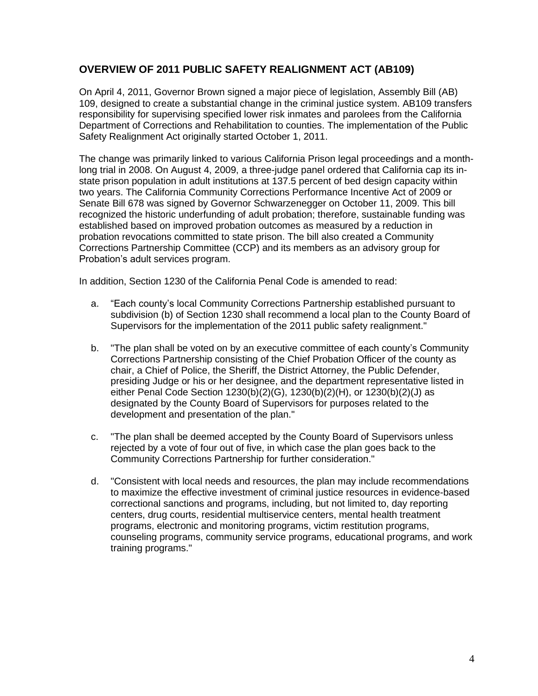## <span id="page-3-0"></span>**OVERVIEW OF 2011 PUBLIC SAFETY REALIGNMENT ACT (AB109)**

On April 4, 2011, Governor Brown signed a major piece of legislation, Assembly Bill (AB) 109, designed to create a substantial change in the criminal justice system. AB109 transfers responsibility for supervising specified lower risk inmates and parolees from the California Department of Corrections and Rehabilitation to counties. The implementation of the Public Safety Realignment Act originally started October 1, 2011.

The change was primarily linked to various California Prison legal proceedings and a monthlong trial in 2008. On August 4, 2009, a three-judge panel ordered that California cap its instate prison population in adult institutions at 137.5 percent of bed design capacity within two years. The California Community Corrections Performance Incentive Act of 2009 or Senate Bill 678 was signed by Governor Schwarzenegger on October 11, 2009. This bill recognized the historic underfunding of adult probation; therefore, sustainable funding was established based on improved probation outcomes as measured by a reduction in probation revocations committed to state prison. The bill also created a Community Corrections Partnership Committee (CCP) and its members as an advisory group for Probation's adult services program.

In addition, Section 1230 of the California Penal Code is amended to read:

- a. "Each county's local Community Corrections Partnership established pursuant to subdivision (b) of Section 1230 shall recommend a local plan to the County Board of Supervisors for the implementation of the 2011 public safety realignment."
- b. "The plan shall be voted on by an executive committee of each county's Community Corrections Partnership consisting of the Chief Probation Officer of the county as chair, a Chief of Police, the Sheriff, the District Attorney, the Public Defender, presiding Judge or his or her designee, and the department representative listed in either Penal Code Section 1230(b)(2)(G), 1230(b)(2)(H), or 1230(b)(2)(J) as designated by the County Board of Supervisors for purposes related to the development and presentation of the plan."
- c. "The plan shall be deemed accepted by the County Board of Supervisors unless rejected by a vote of four out of five, in which case the plan goes back to the Community Corrections Partnership for further consideration."
- d. "Consistent with local needs and resources, the plan may include recommendations to maximize the effective investment of criminal justice resources in evidence-based correctional sanctions and programs, including, but not limited to, day reporting centers, drug courts, residential multiservice centers, mental health treatment programs, electronic and monitoring programs, victim restitution programs, counseling programs, community service programs, educational programs, and work training programs."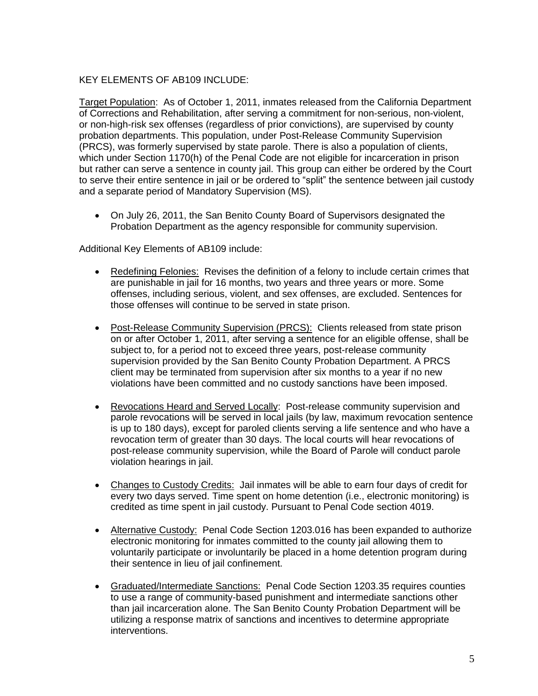#### KEY ELEMENTS OF AB109 INCLUDE:

Target Population: As of October 1, 2011, inmates released from the California Department of Corrections and Rehabilitation, after serving a commitment for non-serious, non-violent, or non-high-risk sex offenses (regardless of prior convictions), are supervised by county probation departments. This population, under Post-Release Community Supervision (PRCS), was formerly supervised by state parole. There is also a population of clients, which under Section 1170(h) of the Penal Code are not eligible for incarceration in prison but rather can serve a sentence in county jail. This group can either be ordered by the Court to serve their entire sentence in jail or be ordered to "split" the sentence between jail custody and a separate period of Mandatory Supervision (MS).

• On July 26, 2011, the San Benito County Board of Supervisors designated the Probation Department as the agency responsible for community supervision.

Additional Key Elements of AB109 include:

- Redefining Felonies: Revises the definition of a felony to include certain crimes that are punishable in jail for 16 months, two years and three years or more. Some offenses, including serious, violent, and sex offenses, are excluded. Sentences for those offenses will continue to be served in state prison.
- Post-Release Community Supervision (PRCS): Clients released from state prison on or after October 1, 2011, after serving a sentence for an eligible offense, shall be subject to, for a period not to exceed three years, post-release community supervision provided by the San Benito County Probation Department. A PRCS client may be terminated from supervision after six months to a year if no new violations have been committed and no custody sanctions have been imposed.
- Revocations Heard and Served Locally: Post-release community supervision and parole revocations will be served in local jails (by law, maximum revocation sentence is up to 180 days), except for paroled clients serving a life sentence and who have a revocation term of greater than 30 days. The local courts will hear revocations of post-release community supervision, while the Board of Parole will conduct parole violation hearings in jail.
- Changes to Custody Credits: Jail inmates will be able to earn four days of credit for every two days served. Time spent on home detention (i.e., electronic monitoring) is credited as time spent in jail custody. Pursuant to Penal Code section 4019.
- Alternative Custody: Penal Code Section 1203.016 has been expanded to authorize electronic monitoring for inmates committed to the county jail allowing them to voluntarily participate or involuntarily be placed in a home detention program during their sentence in lieu of jail confinement.
- Graduated/Intermediate Sanctions: Penal Code Section 1203.35 requires counties to use a range of community-based punishment and intermediate sanctions other than jail incarceration alone. The San Benito County Probation Department will be utilizing a response matrix of sanctions and incentives to determine appropriate interventions.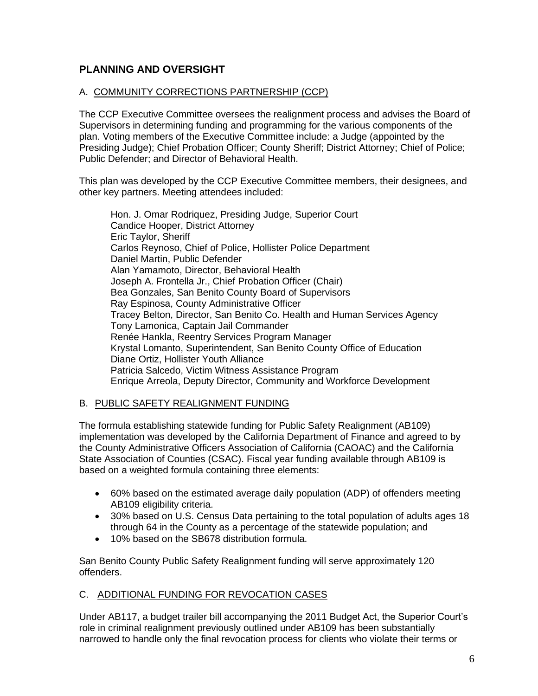## <span id="page-5-0"></span>**PLANNING AND OVERSIGHT**

#### A. COMMUNITY CORRECTIONS PARTNERSHIP (CCP)

The CCP Executive Committee oversees the realignment process and advises the Board of Supervisors in determining funding and programming for the various components of the plan. Voting members of the Executive Committee include: a Judge (appointed by the Presiding Judge); Chief Probation Officer; County Sheriff; District Attorney; Chief of Police; Public Defender; and Director of Behavioral Health.

This plan was developed by the CCP Executive Committee members, their designees, and other key partners. Meeting attendees included:

Hon. J. Omar Rodriquez, Presiding Judge, Superior Court Candice Hooper, District Attorney Eric Taylor, Sheriff Carlos Reynoso, Chief of Police, Hollister Police Department Daniel Martin, Public Defender Alan Yamamoto, Director, Behavioral Health Joseph A. Frontella Jr., Chief Probation Officer (Chair) Bea Gonzales, San Benito County Board of Supervisors Ray Espinosa, County Administrative Officer Tracey Belton, Director, San Benito Co. Health and Human Services Agency Tony Lamonica, Captain Jail Commander Renée Hankla, Reentry Services Program Manager Krystal Lomanto, Superintendent, San Benito County Office of Education Diane Ortiz, Hollister Youth Alliance Patricia Salcedo, Victim Witness Assistance Program Enrique Arreola, Deputy Director, Community and Workforce Development

#### B. PUBLIC SAFETY REALIGNMENT FUNDING

The formula establishing statewide funding for Public Safety Realignment (AB109) implementation was developed by the California Department of Finance and agreed to by the County Administrative Officers Association of California (CAOAC) and the California State Association of Counties (CSAC). Fiscal year funding available through AB109 is based on a weighted formula containing three elements:

- 60% based on the estimated average daily population (ADP) of offenders meeting AB109 eligibility criteria.
- 30% based on U.S. Census Data pertaining to the total population of adults ages 18 through 64 in the County as a percentage of the statewide population; and
- 10% based on the SB678 distribution formula.

San Benito County Public Safety Realignment funding will serve approximately 120 offenders.

## C. ADDITIONAL FUNDING FOR REVOCATION CASES

Under AB117, a budget trailer bill accompanying the 2011 Budget Act, the Superior Court's role in criminal realignment previously outlined under AB109 has been substantially narrowed to handle only the final revocation process for clients who violate their terms or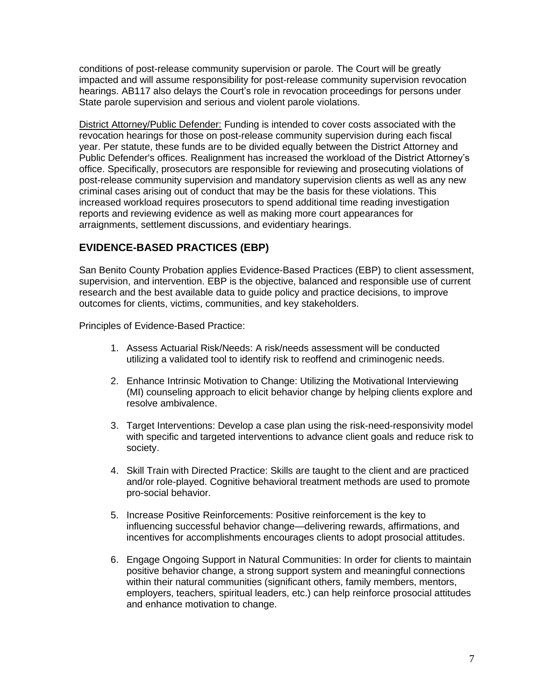conditions of post-release community supervision or parole. The Court will be greatly impacted and will assume responsibility for post-release community supervision revocation hearings. AB117 also delays the Court's role in revocation proceedings for persons under State parole supervision and serious and violent parole violations.

District Attorney/Public Defender: Funding is intended to cover costs associated with the revocation hearings for those on post-release community supervision during each fiscal year. Per statute, these funds are to be divided equally between the District Attorney and Public Defender's offices. Realignment has increased the workload of the District Attorney's office. Specifically, prosecutors are responsible for reviewing and prosecuting violations of post-release community supervision and mandatory supervision clients as well as any new criminal cases arising out of conduct that may be the basis for these violations. This increased workload requires prosecutors to spend additional time reading investigation reports and reviewing evidence as well as making more court appearances for arraignments, settlement discussions, and evidentiary hearings.

## <span id="page-6-0"></span>**EVIDENCE-BASED PRACTICES (EBP)**

San Benito County Probation applies Evidence-Based Practices (EBP) to client assessment, supervision, and intervention. EBP is the objective, balanced and responsible use of current research and the best available data to guide policy and practice decisions, to improve outcomes for clients, victims, communities, and key stakeholders.

Principles of Evidence-Based Practice:

- 1. Assess Actuarial Risk/Needs: A risk/needs assessment will be conducted utilizing a validated tool to identify risk to reoffend and criminogenic needs.
- 2. Enhance Intrinsic Motivation to Change: Utilizing the Motivational Interviewing (MI) counseling approach to elicit behavior change by helping clients explore and resolve ambivalence.
- 3. Target Interventions: Develop a case plan using the risk-need-responsivity model with specific and targeted interventions to advance client goals and reduce risk to society.
- 4. Skill Train with Directed Practice: Skills are taught to the client and are practiced and/or role-played. Cognitive behavioral treatment methods are used to promote pro-social behavior.
- 5. Increase Positive Reinforcements: Positive reinforcement is the key to influencing successful behavior change—delivering rewards, affirmations, and incentives for accomplishments encourages clients to adopt prosocial attitudes.
- 6. Engage Ongoing Support in Natural Communities: In order for clients to maintain positive behavior change, a strong support system and meaningful connections within their natural communities (significant others, family members, mentors, employers, teachers, spiritual leaders, etc.) can help reinforce prosocial attitudes and enhance motivation to change.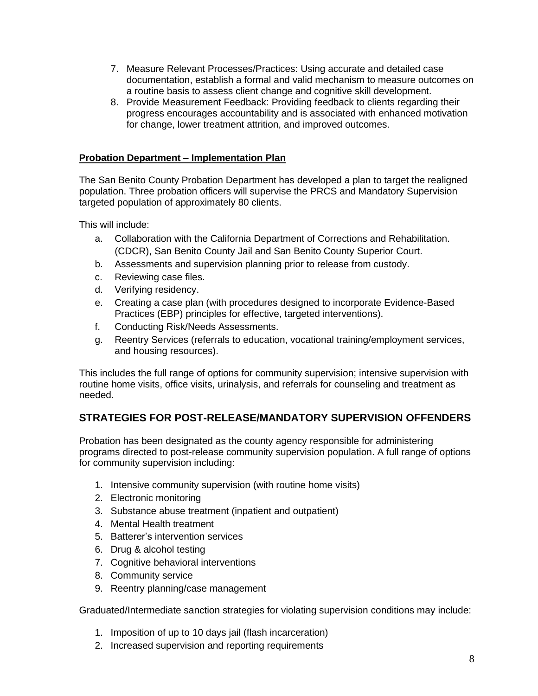- 7. Measure Relevant Processes/Practices: Using accurate and detailed case documentation, establish a formal and valid mechanism to measure outcomes on a routine basis to assess client change and cognitive skill development.
- 8. Provide Measurement Feedback: Providing feedback to clients regarding their progress encourages accountability and is associated with enhanced motivation for change, lower treatment attrition, and improved outcomes.

#### **Probation Department – Implementation Plan**

The San Benito County Probation Department has developed a plan to target the realigned population. Three probation officers will supervise the PRCS and Mandatory Supervision targeted population of approximately 80 clients.

This will include:

- a. Collaboration with the California Department of Corrections and Rehabilitation. (CDCR), San Benito County Jail and San Benito County Superior Court.
- b. Assessments and supervision planning prior to release from custody.
- c. Reviewing case files.
- d. Verifying residency.
- e. Creating a case plan (with procedures designed to incorporate Evidence-Based Practices (EBP) principles for effective, targeted interventions).
- f. Conducting Risk/Needs Assessments.
- g. Reentry Services (referrals to education, vocational training/employment services, and housing resources).

This includes the full range of options for community supervision; intensive supervision with routine home visits, office visits, urinalysis, and referrals for counseling and treatment as needed.

## <span id="page-7-0"></span>**STRATEGIES FOR POST-RELEASE/MANDATORY SUPERVISION OFFENDERS**

Probation has been designated as the county agency responsible for administering programs directed to post-release community supervision population. A full range of options for community supervision including:

- 1. Intensive community supervision (with routine home visits)
- 2. Electronic monitoring
- 3. Substance abuse treatment (inpatient and outpatient)
- 4. Mental Health treatment
- 5. Batterer's intervention services
- 6. Drug & alcohol testing
- 7. Cognitive behavioral interventions
- 8. Community service
- 9. Reentry planning/case management

Graduated/Intermediate sanction strategies for violating supervision conditions may include:

- 1. Imposition of up to 10 days jail (flash incarceration)
- 2. Increased supervision and reporting requirements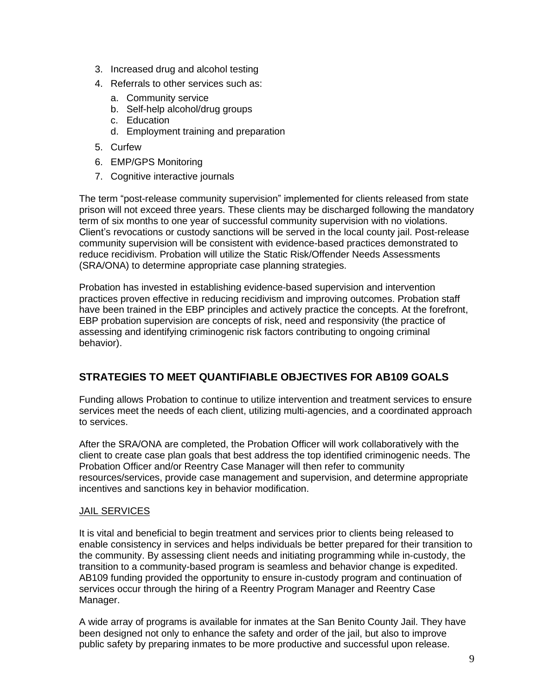- 3. Increased drug and alcohol testing
- 4. Referrals to other services such as:
	- a. Community service
	- b. Self-help alcohol/drug groups
	- c. Education
	- d. Employment training and preparation
- 5. Curfew
- 6. EMP/GPS Monitoring
- 7. Cognitive interactive journals

The term "post-release community supervision" implemented for clients released from state prison will not exceed three years. These clients may be discharged following the mandatory term of six months to one year of successful community supervision with no violations. Client's revocations or custody sanctions will be served in the local county jail. Post-release community supervision will be consistent with evidence-based practices demonstrated to reduce recidivism. Probation will utilize the Static Risk/Offender Needs Assessments (SRA/ONA) to determine appropriate case planning strategies.

Probation has invested in establishing evidence-based supervision and intervention practices proven effective in reducing recidivism and improving outcomes. Probation staff have been trained in the EBP principles and actively practice the concepts. At the forefront, EBP probation supervision are concepts of risk, need and responsivity (the practice of assessing and identifying criminogenic risk factors contributing to ongoing criminal behavior).

## <span id="page-8-0"></span>**STRATEGIES TO MEET QUANTIFIABLE OBJECTIVES FOR AB109 GOALS**

Funding allows Probation to continue to utilize intervention and treatment services to ensure services meet the needs of each client, utilizing multi-agencies, and a coordinated approach to services.

After the SRA/ONA are completed, the Probation Officer will work collaboratively with the client to create case plan goals that best address the top identified criminogenic needs. The Probation Officer and/or Reentry Case Manager will then refer to community resources/services, provide case management and supervision, and determine appropriate incentives and sanctions key in behavior modification.

#### JAIL SERVICES

It is vital and beneficial to begin treatment and services prior to clients being released to enable consistency in services and helps individuals be better prepared for their transition to the community. By assessing client needs and initiating programming while in-custody, the transition to a community-based program is seamless and behavior change is expedited. AB109 funding provided the opportunity to ensure in-custody program and continuation of services occur through the hiring of a Reentry Program Manager and Reentry Case Manager.

A wide array of programs is available for inmates at the San Benito County Jail. They have been designed not only to enhance the safety and order of the jail, but also to improve public safety by preparing inmates to be more productive and successful upon release.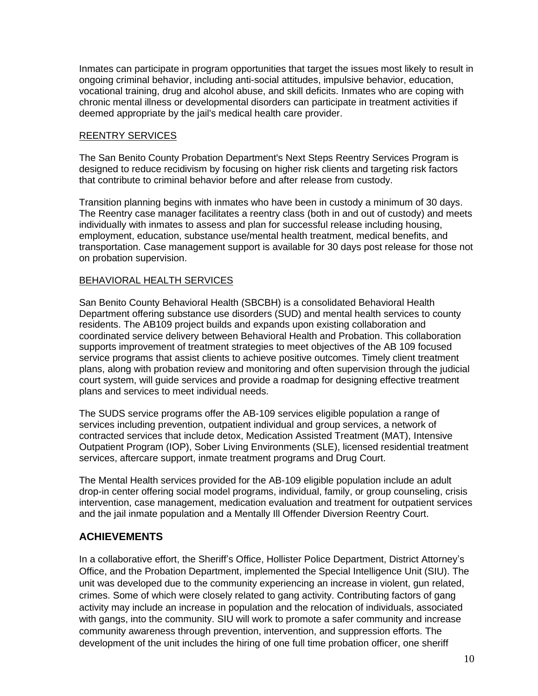Inmates can participate in program opportunities that target the issues most likely to result in ongoing criminal behavior, including anti-social attitudes, impulsive behavior, education, vocational training, drug and alcohol abuse, and skill deficits. Inmates who are coping with chronic mental illness or developmental disorders can participate in treatment activities if deemed appropriate by the jail's medical health care provider.

#### REENTRY SERVICES

The San Benito County Probation Department's Next Steps Reentry Services Program is designed to reduce recidivism by focusing on higher risk clients and targeting risk factors that contribute to criminal behavior before and after release from custody.

Transition planning begins with inmates who have been in custody a minimum of 30 days. The Reentry case manager facilitates a reentry class (both in and out of custody) and meets individually with inmates to assess and plan for successful release including housing, employment, education, substance use/mental health treatment, medical benefits, and transportation. Case management support is available for 30 days post release for those not on probation supervision.

#### BEHAVIORAL HEALTH SERVICES

San Benito County Behavioral Health (SBCBH) is a consolidated Behavioral Health Department offering substance use disorders (SUD) and mental health services to county residents. The AB109 project builds and expands upon existing collaboration and coordinated service delivery between Behavioral Health and Probation. This collaboration supports improvement of treatment strategies to meet objectives of the AB 109 focused service programs that assist clients to achieve positive outcomes. Timely client treatment plans, along with probation review and monitoring and often supervision through the judicial court system, will guide services and provide a roadmap for designing effective treatment plans and services to meet individual needs.

The SUDS service programs offer the AB-109 services eligible population a range of services including prevention, outpatient individual and group services, a network of contracted services that include detox, Medication Assisted Treatment (MAT), Intensive Outpatient Program (IOP), Sober Living Environments (SLE), licensed residential treatment services, aftercare support, inmate treatment programs and Drug Court.

The Mental Health services provided for the AB-109 eligible population include an adult drop-in center offering social model programs, individual, family, or group counseling, crisis intervention, case management, medication evaluation and treatment for outpatient services and the jail inmate population and a Mentally Ill Offender Diversion Reentry Court.

## <span id="page-9-0"></span>**ACHIEVEMENTS**

In a collaborative effort, the Sheriff's Office, Hollister Police Department, District Attorney's Office, and the Probation Department, implemented the Special Intelligence Unit (SIU). The unit was developed due to the community experiencing an increase in violent, gun related, crimes. Some of which were closely related to gang activity. Contributing factors of gang activity may include an increase in population and the relocation of individuals, associated with gangs, into the community. SIU will work to promote a safer community and increase community awareness through prevention, intervention, and suppression efforts. The development of the unit includes the hiring of one full time probation officer, one sheriff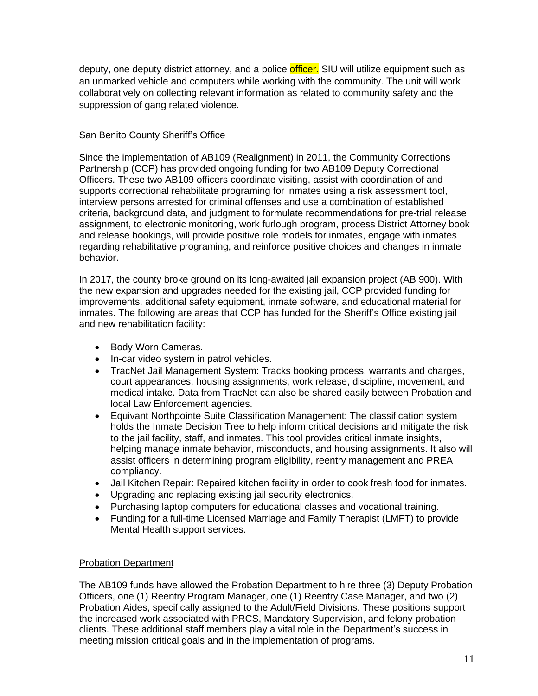deputy, one deputy district attorney, and a police **officer.** SIU will utilize equipment such as an unmarked vehicle and computers while working with the community. The unit will work collaboratively on collecting relevant information as related to community safety and the suppression of gang related violence.

#### **San Benito County Sheriff's Office**

Since the implementation of AB109 (Realignment) in 2011, the Community Corrections Partnership (CCP) has provided ongoing funding for two AB109 Deputy Correctional Officers. These two AB109 officers coordinate visiting, assist with coordination of and supports correctional rehabilitate programing for inmates using a risk assessment tool, interview persons arrested for criminal offenses and use a combination of established criteria, background data, and judgment to formulate recommendations for pre-trial release assignment, to electronic monitoring, work furlough program, process District Attorney book and release bookings, will provide positive role models for inmates, engage with inmates regarding rehabilitative programing, and reinforce positive choices and changes in inmate behavior.

In 2017, the county broke ground on its long-awaited jail expansion project (AB 900). With the new expansion and upgrades needed for the existing jail, CCP provided funding for improvements, additional safety equipment, inmate software, and educational material for inmates. The following are areas that CCP has funded for the Sheriff's Office existing jail and new rehabilitation facility:

- Body Worn Cameras.
- In-car video system in patrol vehicles.
- TracNet Jail Management System: Tracks booking process, warrants and charges, court appearances, housing assignments, work release, discipline, movement, and medical intake. Data from TracNet can also be shared easily between Probation and local Law Enforcement agencies.
- Equivant Northpointe Suite Classification Management: The classification system holds the Inmate Decision Tree to help inform critical decisions and mitigate the risk to the jail facility, staff, and inmates. This tool provides critical inmate insights, helping manage inmate behavior, misconducts, and housing assignments. It also will assist officers in determining program eligibility, reentry management and PREA compliancy.
- Jail Kitchen Repair: Repaired kitchen facility in order to cook fresh food for inmates.
- Upgrading and replacing existing jail security electronics.
- Purchasing laptop computers for educational classes and vocational training.
- Funding for a full-time Licensed Marriage and Family Therapist (LMFT) to provide Mental Health support services.

## Probation Department

The AB109 funds have allowed the Probation Department to hire three (3) Deputy Probation Officers, one (1) Reentry Program Manager, one (1) Reentry Case Manager, and two (2) Probation Aides, specifically assigned to the Adult/Field Divisions. These positions support the increased work associated with PRCS, Mandatory Supervision, and felony probation clients. These additional staff members play a vital role in the Department's success in meeting mission critical goals and in the implementation of programs.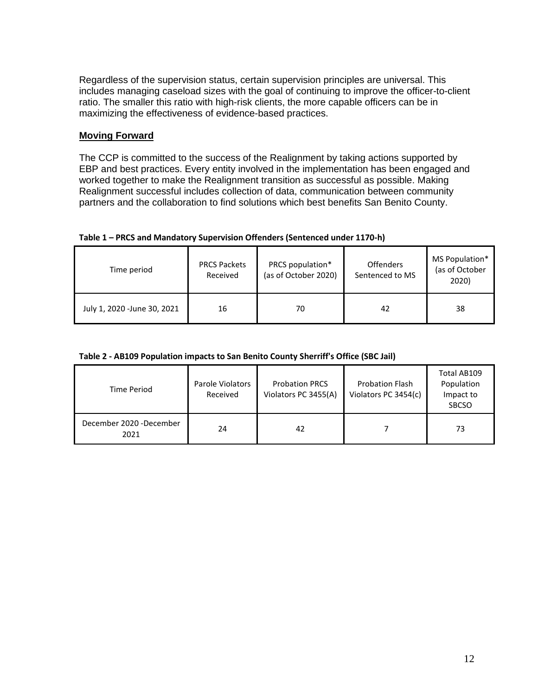Regardless of the supervision status, certain supervision principles are universal. This includes managing caseload sizes with the goal of continuing to improve the officer-to-client ratio. The smaller this ratio with high-risk clients, the more capable officers can be in maximizing the effectiveness of evidence-based practices.

#### **Moving Forward**

The CCP is committed to the success of the Realignment by taking actions supported by EBP and best practices. Every entity involved in the implementation has been engaged and worked together to make the Realignment transition as successful as possible. Making Realignment successful includes collection of data, communication between community partners and the collaboration to find solutions which best benefits San Benito County.

| Time period                 | <b>PRCS Packets</b><br>Received | PRCS population*<br>(as of October 2020) | <b>Offenders</b><br>Sentenced to MS | MS Population*<br>(as of October<br>2020) |
|-----------------------------|---------------------------------|------------------------------------------|-------------------------------------|-------------------------------------------|
| July 1, 2020 -June 30, 2021 | 16                              | 70                                       | 42                                  | 38                                        |

#### **Table 1 – PRCS and Mandatory Supervision Offenders (Sentenced under 1170-h)**

#### **Table 2 - AB109 Population impacts to San Benito County Sherriff's Office (SBC Jail)**

| <b>Time Period</b>              | Parole Violators<br>Received | <b>Probation PRCS</b><br>Violators PC 3455(A) | <b>Probation Flash</b><br>Violators PC 3454(c) | Total AB109<br>Population<br>Impact to<br><b>SBCSO</b> |
|---------------------------------|------------------------------|-----------------------------------------------|------------------------------------------------|--------------------------------------------------------|
| December 2020 -December<br>2021 | 24                           | 42                                            |                                                | 73                                                     |